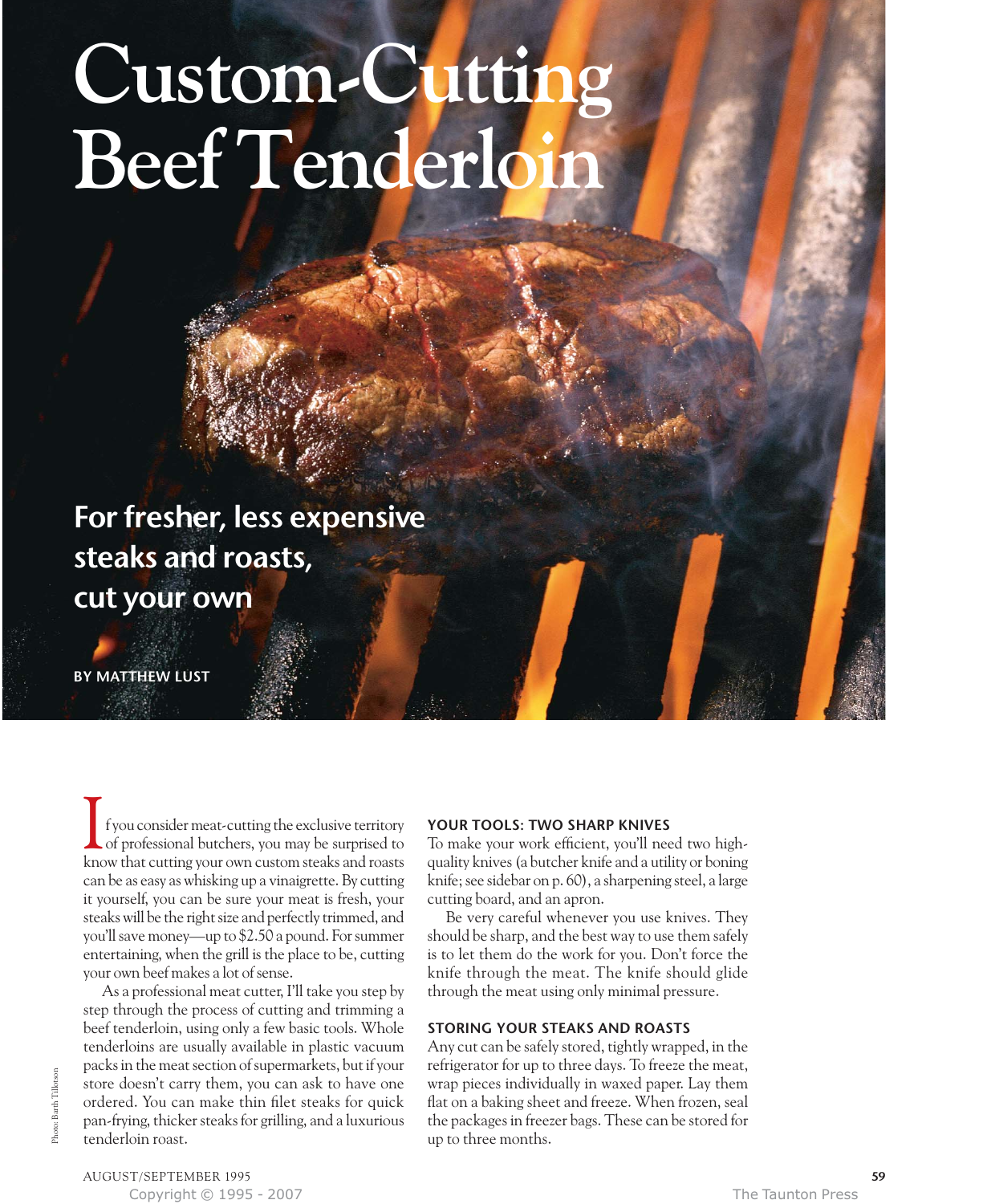# **Custom-Cutting Beef Tenderloin**

**For fresher, less expensive steaks and roasts, cut your own**

**BY MATTHEW LUST**

f you consider meat-cutting the exclusive territory of professional butchers, you may be surprised to know that cutting your own custom steaks and roasts can be as easy as whisking up a vinaigrette. By cutting it yourself, you can be sure your meat is fresh, your steaks will be the right size and perfectly trimmed, and you'll save money—up to \$2.50 a pound. For summer entertaining, when the grill is the place to be, cutting your own beef makes a lot of sense. I

As a professional meat cutter, I'll take you step by step through the process of cutting and trimming a beef tenderloin, using only a few basic tools. Whole tenderloins are usually available in plastic vacuum packs in the meat section of supermarkets, but if your store doesn't carry them, you can ask to have one ordered. You can make thin filet steaks for quick pan-frying, thicker steaks for grilling, and a luxurious tenderloin roast.

#### **YOUR TOOLS: TWO SHARP KNIVES**

To make your work efficient, you'll need two highquality knives (a butcher knife and a utility or boning knife; see sidebar on p. 60), a sharpening steel, a large cutting board, and an apron.

Be very careful whenever you use knives. They should be sharp, and the best way to use them safely is to let them do the work for you. Don't force the knife through the meat. The knife should glide through the meat using only minimal pressure.

#### **STORING YOUR STEAKS AND ROASTS**

Any cut can be safely stored, tightly wrapped, in the refrigerator for up to three days. To freeze the meat, wrap pieces individually in waxed paper. Lay them flat on a baking sheet and freeze. When frozen, seal the packages in freezer bags. These can be stored for up to three months.

AUGUST/SEPTEMBER 1995 **59** Copyright © 1995 - 2007 The Taunton Press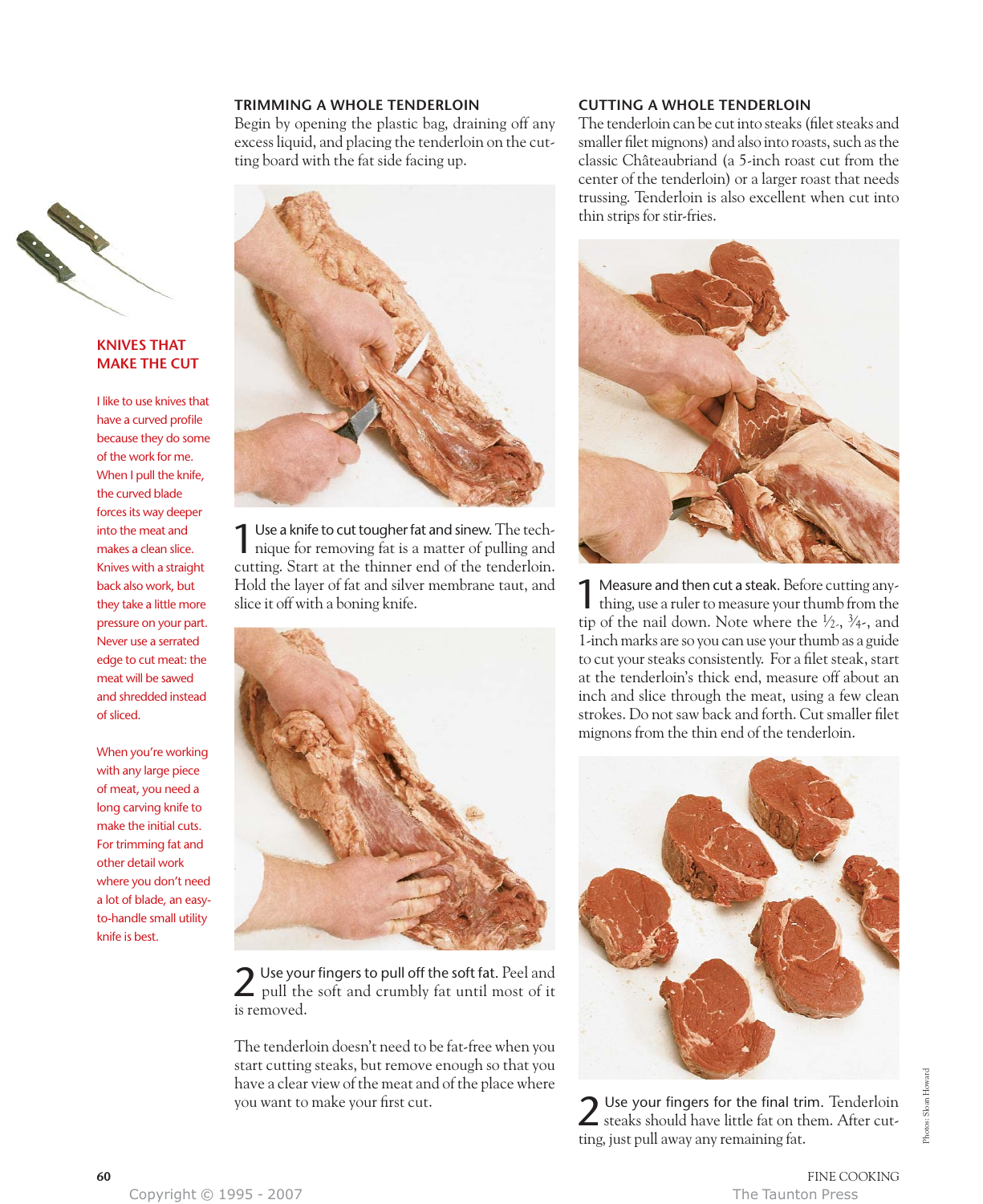#### **TRIMMING A WHOLE TENDERLOIN**

Begin by opening the plastic bag, draining off any excess liquid, and placing the tenderloin on the cutting board with the fat side facing up.



#### **KNIVES THAT MAKE THE CUT**

I like to use knives that have a curved profile because they do some of the work for me. When I pull the knife, the curved blade forces its way deeper into the meat and makes a clean slice. Knives with a straight back also work, but they take a little more pressure on your part. Never use a serrated edge to cut meat: the meat will be sawed and shredded instead of sliced.

When you're working with any large piece of meat, you need a long carving knife to make the initial cuts. For trimming fat and other detail work where you don't need a lot of blade, an easyto-handle small utility knife is best.



1Use a knife to cut tougher fat and sinew. The tech-nique for removing fat is a matter of pulling and cutting. Start at the thinner end of the tenderloin. Hold the layer of fat and silver membrane taut, and slice it off with a boning knife.



2 Use your fingers to pull off the soft fat. Peel and pull the soft and crumbly fat until most of it is removed.

The tenderloin doesn't need to be fat-free when you start cutting steaks, but remove enough so that you have a clear view of the meat and of the place where you want to make your first cut.

#### **CUTTING A WHOLE TENDERLOIN**

The tenderloin can be cut into steaks (filet steaks and smaller filet mignons) and also into roasts, such as the classic Châteaubriand (a 5-inch roast cut from the center of the tenderloin) or a larger roast that needs trussing. Tenderloin is also excellent when cut into thin strips for stir-fries.



**1** Measure and then cut a steak. Before cutting any-<br>thing, use a ruler to measure your thumb from the tip of the nail down. Note where the  $\frac{1}{2}$ ,  $\frac{3}{4}$ , and 1-inch marks are so you can use your thumb as a guide to cut your steaks consistently. For a filet steak, start at the tenderloin's thick end, measure off about an inch and slice through the meat, using a few clean strokes. Do not saw back and forth. Cut smaller filet mignons from the thin end of the tenderloin.



2 Use your fingers for the final trim. Tenderloin steaks should have little fat on them. After cutting, just pull away any remaining fat.